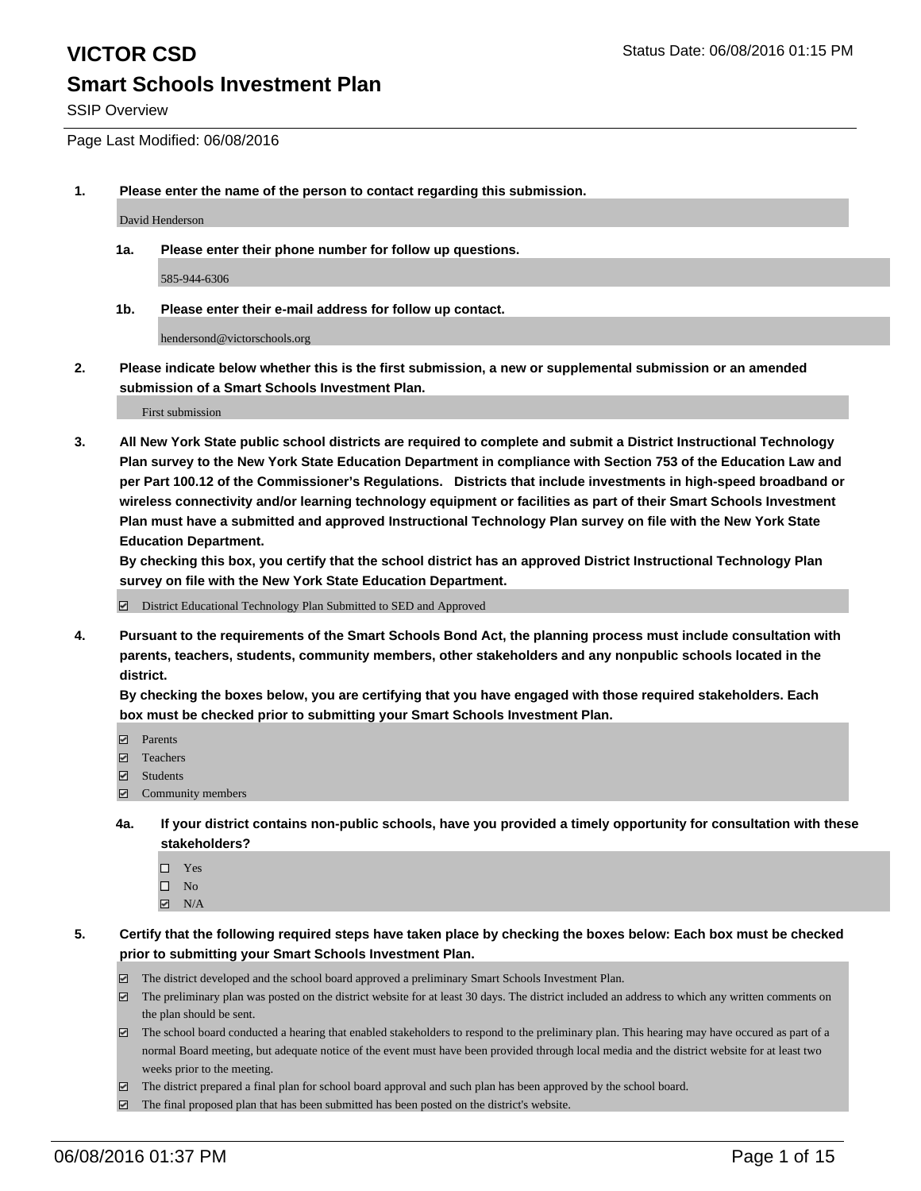SSIP Overview

Page Last Modified: 06/08/2016

**1. Please enter the name of the person to contact regarding this submission.**

David Henderson

**1a. Please enter their phone number for follow up questions.**

585-944-6306

**1b. Please enter their e-mail address for follow up contact.**

hendersond@victorschools.org

**2. Please indicate below whether this is the first submission, a new or supplemental submission or an amended submission of a Smart Schools Investment Plan.**

First submission

**3. All New York State public school districts are required to complete and submit a District Instructional Technology Plan survey to the New York State Education Department in compliance with Section 753 of the Education Law and per Part 100.12 of the Commissioner's Regulations. Districts that include investments in high-speed broadband or wireless connectivity and/or learning technology equipment or facilities as part of their Smart Schools Investment Plan must have a submitted and approved Instructional Technology Plan survey on file with the New York State Education Department.** 

**By checking this box, you certify that the school district has an approved District Instructional Technology Plan survey on file with the New York State Education Department.**

District Educational Technology Plan Submitted to SED and Approved

**4. Pursuant to the requirements of the Smart Schools Bond Act, the planning process must include consultation with parents, teachers, students, community members, other stakeholders and any nonpublic schools located in the district.** 

**By checking the boxes below, you are certifying that you have engaged with those required stakeholders. Each box must be checked prior to submitting your Smart Schools Investment Plan.**

- **Parents**
- Teachers
- $\blacksquare$  Students
- Community members
- **4a. If your district contains non-public schools, have you provided a timely opportunity for consultation with these stakeholders?**
	- $\Box$  Yes  $\square$  No
	- $\boxtimes$  N/A
- **5. Certify that the following required steps have taken place by checking the boxes below: Each box must be checked prior to submitting your Smart Schools Investment Plan.**
	- The district developed and the school board approved a preliminary Smart Schools Investment Plan.
	- $\boxdot$  The preliminary plan was posted on the district website for at least 30 days. The district included an address to which any written comments on the plan should be sent.
	- The school board conducted a hearing that enabled stakeholders to respond to the preliminary plan. This hearing may have occured as part of a normal Board meeting, but adequate notice of the event must have been provided through local media and the district website for at least two weeks prior to the meeting.
	- The district prepared a final plan for school board approval and such plan has been approved by the school board.
	- $\boxdot$  The final proposed plan that has been submitted has been posted on the district's website.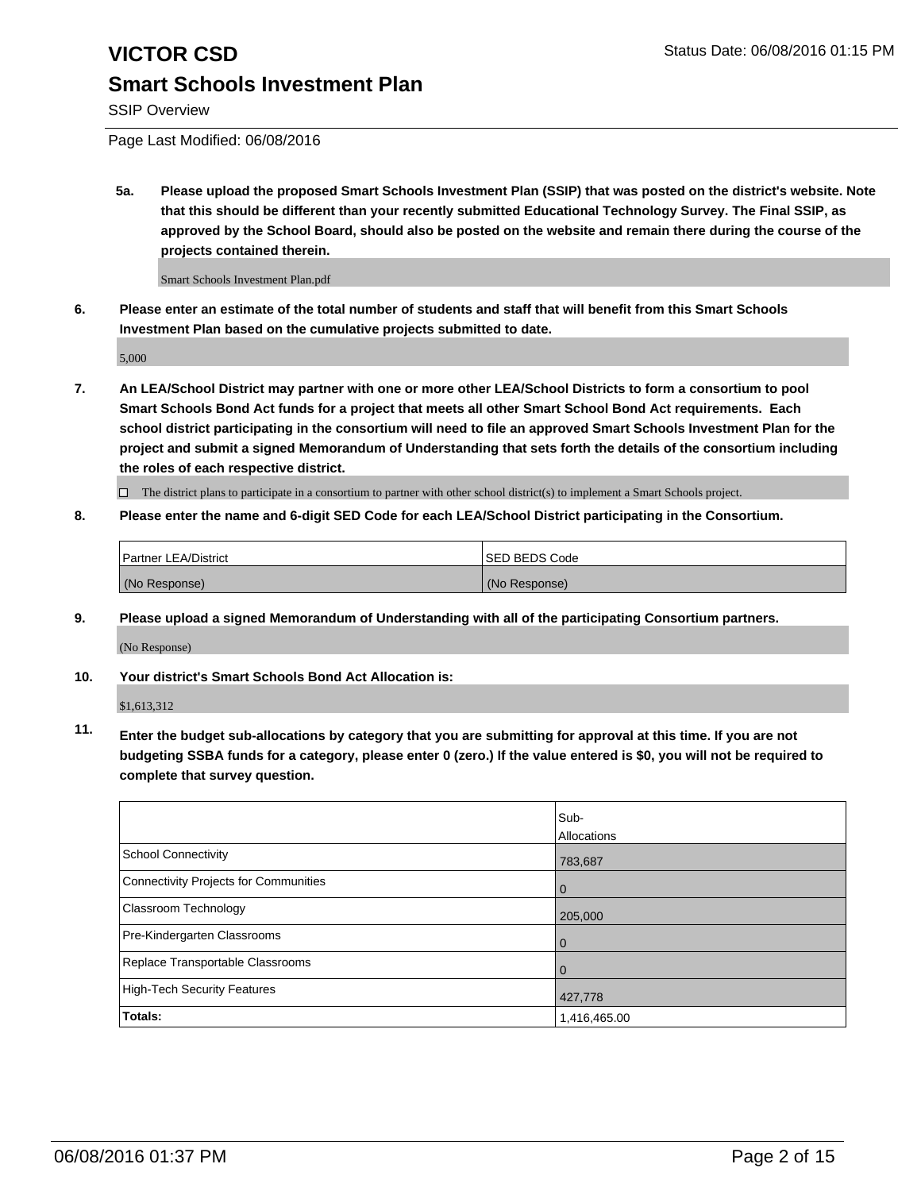SSIP Overview

Page Last Modified: 06/08/2016

**5a. Please upload the proposed Smart Schools Investment Plan (SSIP) that was posted on the district's website. Note that this should be different than your recently submitted Educational Technology Survey. The Final SSIP, as approved by the School Board, should also be posted on the website and remain there during the course of the projects contained therein.**

Smart Schools Investment Plan.pdf

**6. Please enter an estimate of the total number of students and staff that will benefit from this Smart Schools Investment Plan based on the cumulative projects submitted to date.**

5,000

**7. An LEA/School District may partner with one or more other LEA/School Districts to form a consortium to pool Smart Schools Bond Act funds for a project that meets all other Smart School Bond Act requirements. Each school district participating in the consortium will need to file an approved Smart Schools Investment Plan for the project and submit a signed Memorandum of Understanding that sets forth the details of the consortium including the roles of each respective district.**

 $\Box$  The district plans to participate in a consortium to partner with other school district(s) to implement a Smart Schools project.

**8. Please enter the name and 6-digit SED Code for each LEA/School District participating in the Consortium.**

| <b>Partner LEA/District</b> | ISED BEDS Code |
|-----------------------------|----------------|
| (No Response)               | (No Response)  |

**9. Please upload a signed Memorandum of Understanding with all of the participating Consortium partners.** (No Response)

**10. Your district's Smart Schools Bond Act Allocation is:**

\$1,613,312

**11. Enter the budget sub-allocations by category that you are submitting for approval at this time. If you are not budgeting SSBA funds for a category, please enter 0 (zero.) If the value entered is \$0, you will not be required to complete that survey question.**

|                                       | Sub-         |
|---------------------------------------|--------------|
|                                       | Allocations  |
| School Connectivity                   | 783,687      |
| Connectivity Projects for Communities | 0            |
| Classroom Technology                  | 205,000      |
| Pre-Kindergarten Classrooms           | O            |
| Replace Transportable Classrooms      | 0            |
| High-Tech Security Features           | 427,778      |
| Totals:                               | 1,416,465.00 |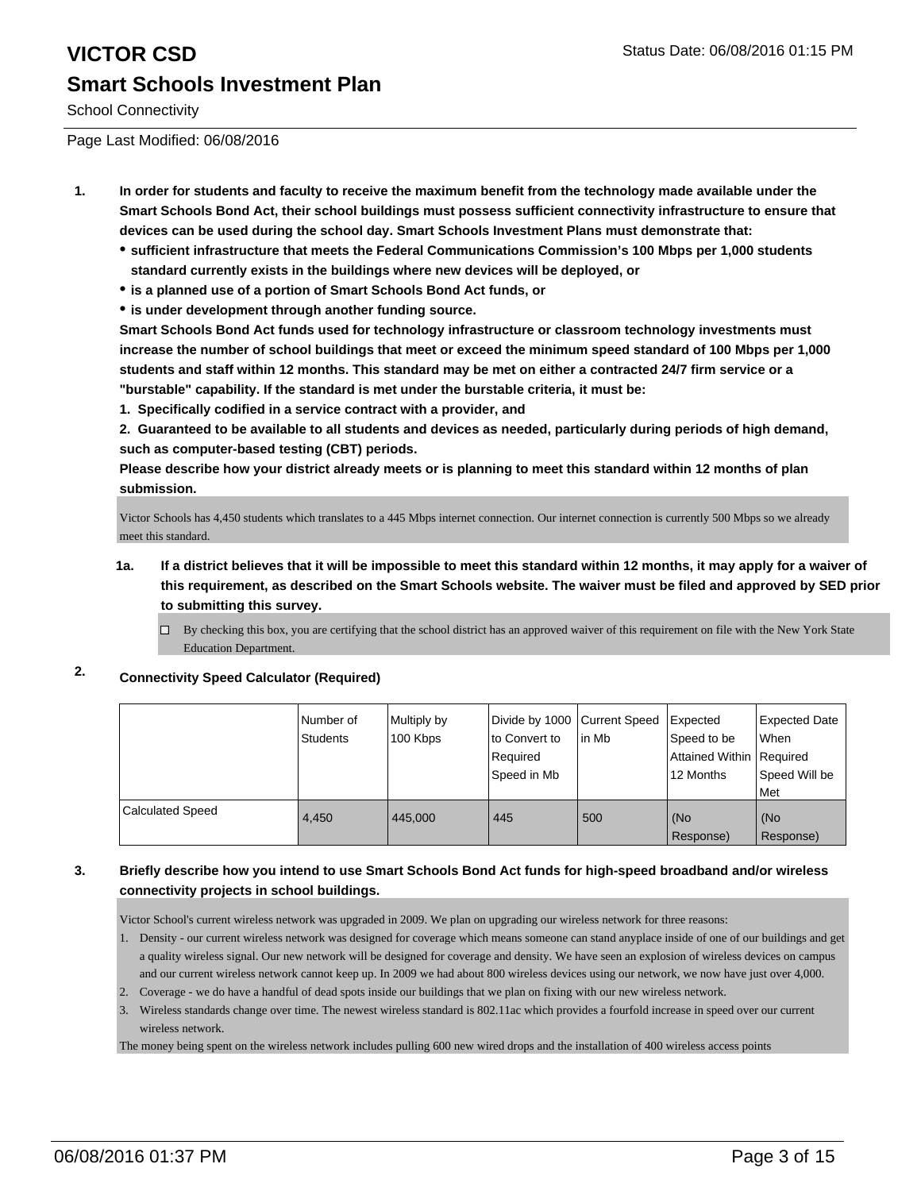School Connectivity

Page Last Modified: 06/08/2016

- **1. In order for students and faculty to receive the maximum benefit from the technology made available under the Smart Schools Bond Act, their school buildings must possess sufficient connectivity infrastructure to ensure that devices can be used during the school day. Smart Schools Investment Plans must demonstrate that:**
	- **sufficient infrastructure that meets the Federal Communications Commission's 100 Mbps per 1,000 students standard currently exists in the buildings where new devices will be deployed, or**
	- **is a planned use of a portion of Smart Schools Bond Act funds, or**
	- **is under development through another funding source.**

**Smart Schools Bond Act funds used for technology infrastructure or classroom technology investments must increase the number of school buildings that meet or exceed the minimum speed standard of 100 Mbps per 1,000 students and staff within 12 months. This standard may be met on either a contracted 24/7 firm service or a "burstable" capability. If the standard is met under the burstable criteria, it must be:**

**1. Specifically codified in a service contract with a provider, and**

**2. Guaranteed to be available to all students and devices as needed, particularly during periods of high demand, such as computer-based testing (CBT) periods.**

**Please describe how your district already meets or is planning to meet this standard within 12 months of plan submission.**

Victor Schools has 4,450 students which translates to a 445 Mbps internet connection. Our internet connection is currently 500 Mbps so we already meet this standard.

**1a. If a district believes that it will be impossible to meet this standard within 12 months, it may apply for a waiver of this requirement, as described on the Smart Schools website. The waiver must be filed and approved by SED prior to submitting this survey.**

 $\Box$  By checking this box, you are certifying that the school district has an approved waiver of this requirement on file with the New York State Education Department.

#### **2. Connectivity Speed Calculator (Required)**

|                  | Number of<br>Students | Multiply by<br>100 Kbps | Divide by 1000 Current Speed<br>to Convert to<br>Required<br>l Speed in Mb | lin Mb | Expected<br>Speed to be<br>Attained Within   Required<br>12 Months | Expected Date<br>When<br>Speed Will be<br>Met |
|------------------|-----------------------|-------------------------|----------------------------------------------------------------------------|--------|--------------------------------------------------------------------|-----------------------------------------------|
| Calculated Speed | 4.450                 | 445.000                 | 445                                                                        | 500    | (No<br>Response)                                                   | (No<br>Response)                              |

#### **3. Briefly describe how you intend to use Smart Schools Bond Act funds for high-speed broadband and/or wireless connectivity projects in school buildings.**

Victor School's current wireless network was upgraded in 2009. We plan on upgrading our wireless network for three reasons:

- 1. Density our current wireless network was designed for coverage which means someone can stand anyplace inside of one of our buildings and get a quality wireless signal. Our new network will be designed for coverage and density. We have seen an explosion of wireless devices on campus and our current wireless network cannot keep up. In 2009 we had about 800 wireless devices using our network, we now have just over 4,000.
- 2. Coverage we do have a handful of dead spots inside our buildings that we plan on fixing with our new wireless network.
- 3. Wireless standards change over time. The newest wireless standard is 802.11ac which provides a fourfold increase in speed over our current wireless network.

The money being spent on the wireless network includes pulling 600 new wired drops and the installation of 400 wireless access points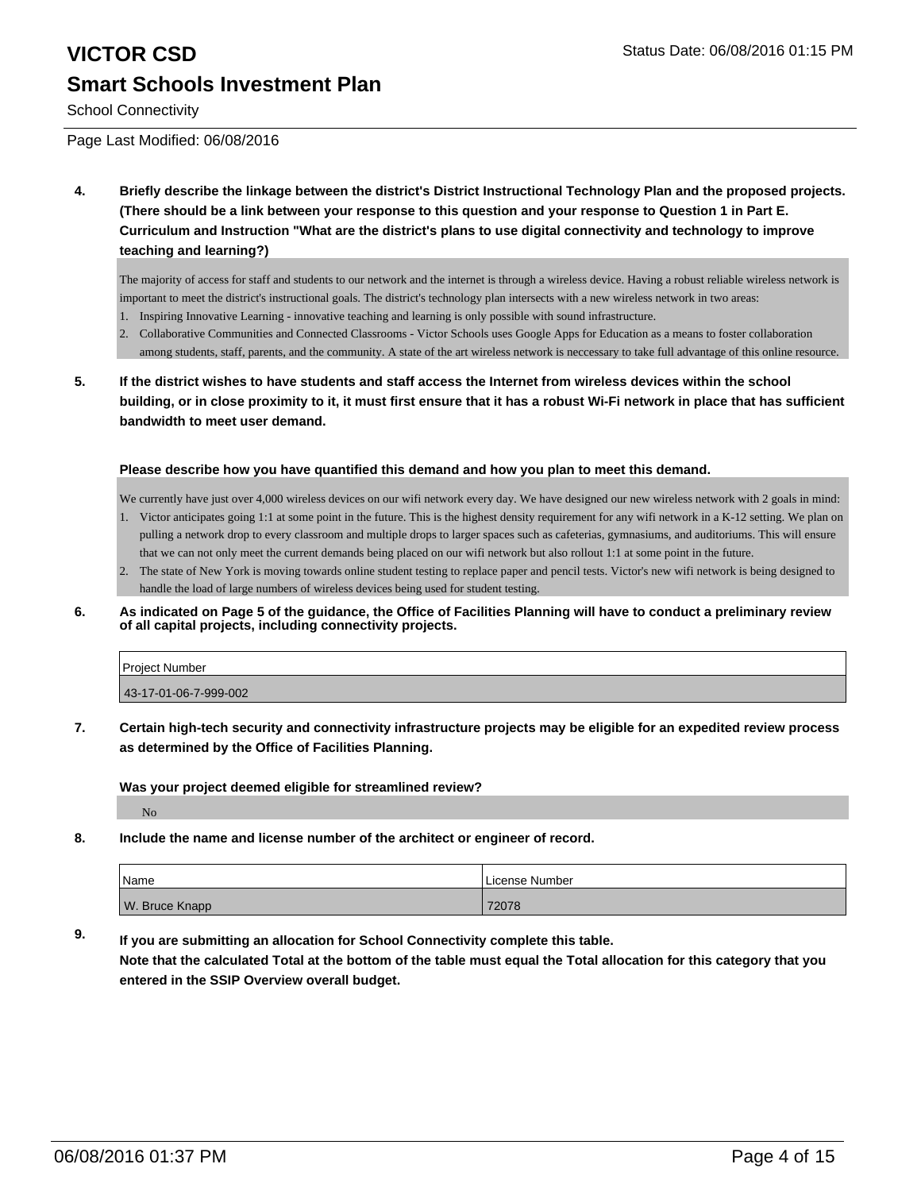# **VICTOR CSD** Status Date: 06/08/2016 01:15 PM **Smart Schools Investment Plan**

School Connectivity

Page Last Modified: 06/08/2016

**4. Briefly describe the linkage between the district's District Instructional Technology Plan and the proposed projects. (There should be a link between your response to this question and your response to Question 1 in Part E. Curriculum and Instruction "What are the district's plans to use digital connectivity and technology to improve teaching and learning?)**

The majority of access for staff and students to our network and the internet is through a wireless device. Having a robust reliable wireless network is important to meet the district's instructional goals. The district's technology plan intersects with a new wireless network in two areas:

- 1. Inspiring Innovative Learning innovative teaching and learning is only possible with sound infrastructure.
- 2. Collaborative Communities and Connected Classrooms Victor Schools uses Google Apps for Education as a means to foster collaboration among students, staff, parents, and the community. A state of the art wireless network is neccessary to take full advantage of this online resource.
- **5. If the district wishes to have students and staff access the Internet from wireless devices within the school building, or in close proximity to it, it must first ensure that it has a robust Wi-Fi network in place that has sufficient bandwidth to meet user demand.**

#### **Please describe how you have quantified this demand and how you plan to meet this demand.**

We currently have just over 4,000 wireless devices on our wifi network every day. We have designed our new wireless network with 2 goals in mind:

- 1. Victor anticipates going 1:1 at some point in the future. This is the highest density requirement for any wifi network in a K-12 setting. We plan on pulling a network drop to every classroom and multiple drops to larger spaces such as cafeterias, gymnasiums, and auditoriums. This will ensure that we can not only meet the current demands being placed on our wifi network but also rollout 1:1 at some point in the future.
- 2. The state of New York is moving towards online student testing to replace paper and pencil tests. Victor's new wifi network is being designed to handle the load of large numbers of wireless devices being used for student testing.
- **6. As indicated on Page 5 of the guidance, the Office of Facilities Planning will have to conduct a preliminary review of all capital projects, including connectivity projects.**

| <b>Project Number</b> |  |
|-----------------------|--|
| 43-17-01-06-7-999-002 |  |
|                       |  |

**7. Certain high-tech security and connectivity infrastructure projects may be eligible for an expedited review process as determined by the Office of Facilities Planning.**

**Was your project deemed eligible for streamlined review?**

No

**8. Include the name and license number of the architect or engineer of record.**

| Name           | License Number |
|----------------|----------------|
| W. Bruce Knapp | 72078          |

**9. If you are submitting an allocation for School Connectivity complete this table. Note that the calculated Total at the bottom of the table must equal the Total allocation for this category that you entered in the SSIP Overview overall budget.**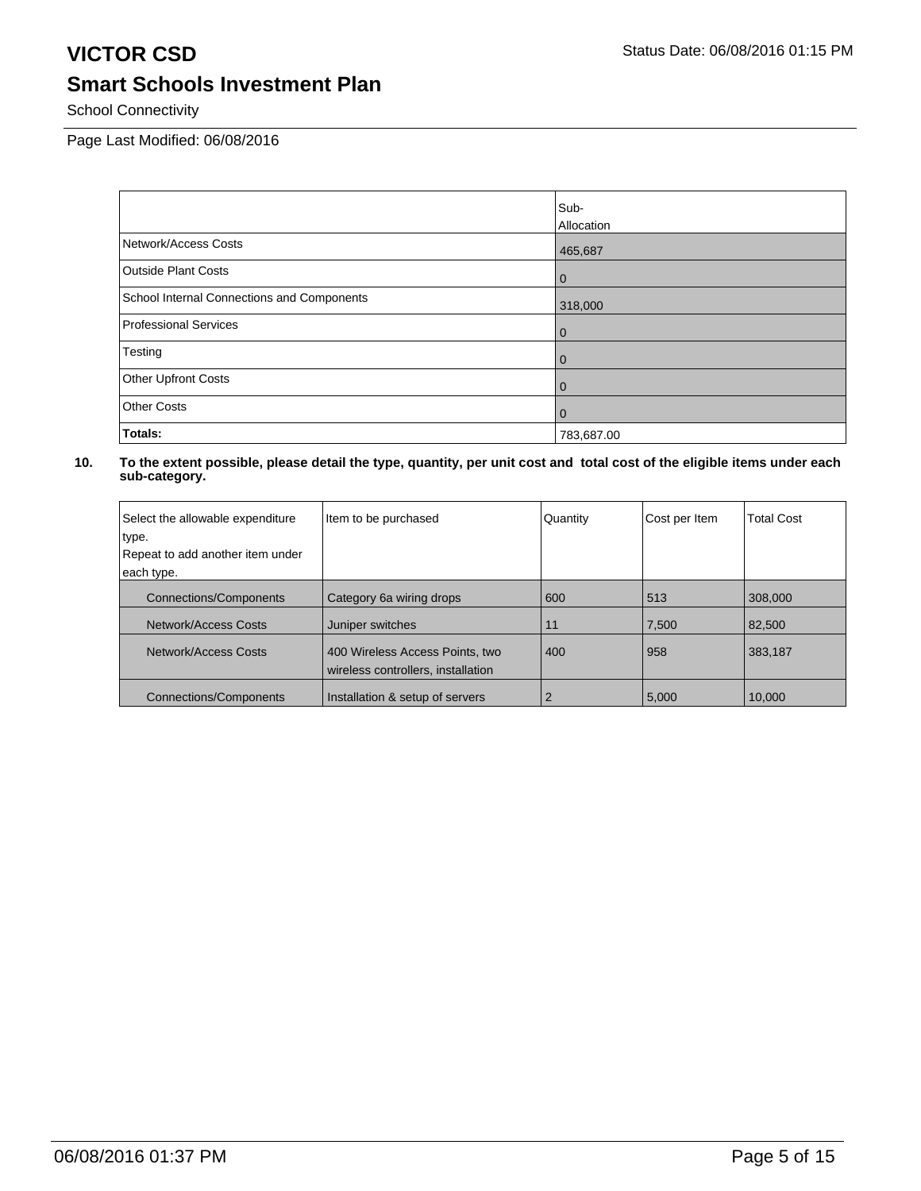School Connectivity

Page Last Modified: 06/08/2016

|                                            | Sub-           |
|--------------------------------------------|----------------|
|                                            | Allocation     |
| Network/Access Costs                       | 465,687        |
| <b>Outside Plant Costs</b>                 | $\overline{0}$ |
| School Internal Connections and Components | 318,000        |
| Professional Services                      | $\overline{0}$ |
| Testing                                    | $\overline{0}$ |
| Other Upfront Costs                        | l 0            |
| <b>Other Costs</b>                         | l 0            |
| Totals:                                    | 783,687.00     |

| Select the allowable expenditure | Item to be purchased                                                  | Quantity | Cost per Item | <b>Total Cost</b> |
|----------------------------------|-----------------------------------------------------------------------|----------|---------------|-------------------|
| type.                            |                                                                       |          |               |                   |
| Repeat to add another item under |                                                                       |          |               |                   |
| each type.                       |                                                                       |          |               |                   |
| <b>Connections/Components</b>    | Category 6a wiring drops                                              | 600      | 513           | 308,000           |
| Network/Access Costs             | Juniper switches                                                      | 11       | 7,500         | 82,500            |
| Network/Access Costs             | 400 Wireless Access Points, two<br>wireless controllers, installation | 400      | 958           | 383,187           |
| <b>Connections/Components</b>    | Installation & setup of servers                                       |          | 5.000         | 10.000            |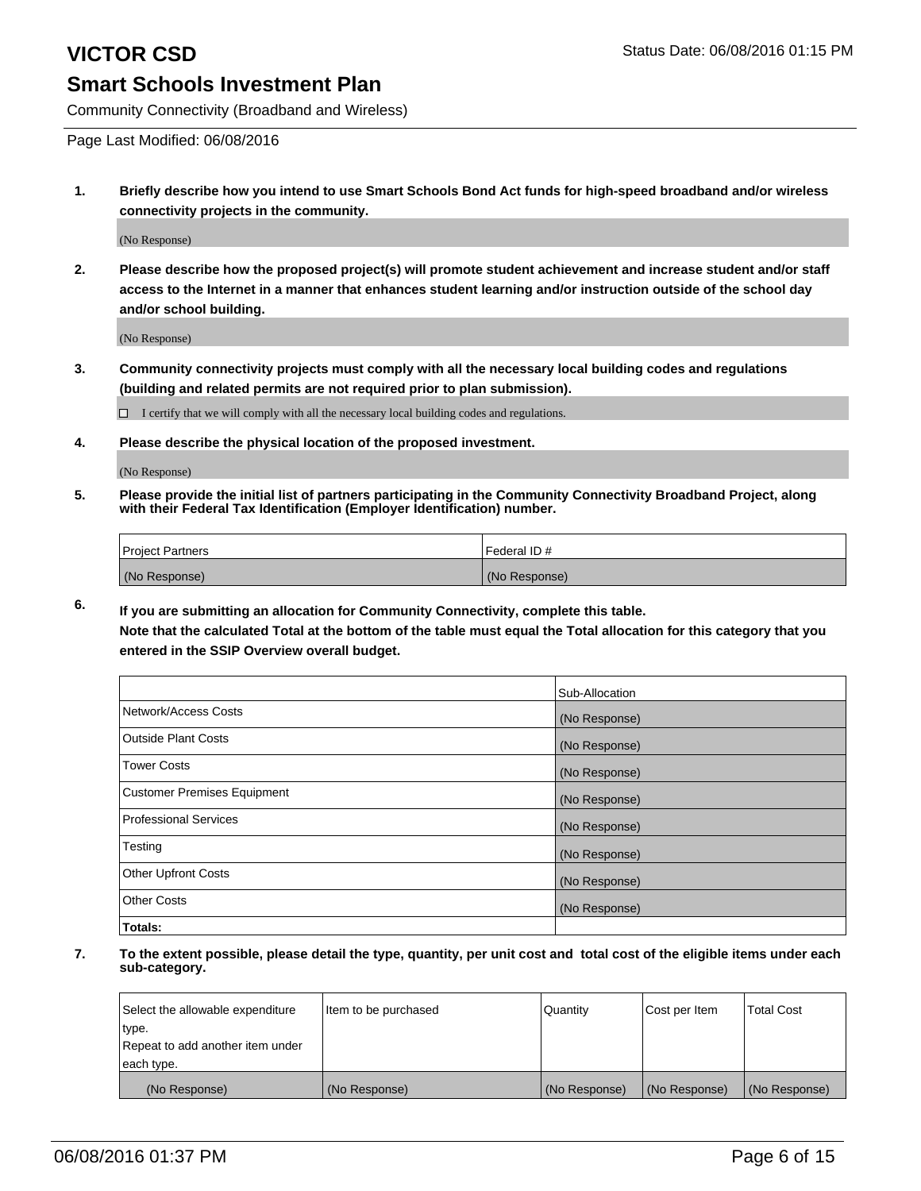Community Connectivity (Broadband and Wireless)

Page Last Modified: 06/08/2016

**1. Briefly describe how you intend to use Smart Schools Bond Act funds for high-speed broadband and/or wireless connectivity projects in the community.**

(No Response)

**2. Please describe how the proposed project(s) will promote student achievement and increase student and/or staff access to the Internet in a manner that enhances student learning and/or instruction outside of the school day and/or school building.**

(No Response)

**3. Community connectivity projects must comply with all the necessary local building codes and regulations (building and related permits are not required prior to plan submission).**

 $\Box$  I certify that we will comply with all the necessary local building codes and regulations.

**4. Please describe the physical location of the proposed investment.**

(No Response)

**5. Please provide the initial list of partners participating in the Community Connectivity Broadband Project, along with their Federal Tax Identification (Employer Identification) number.**

| Project Partners | I Federal ID # |
|------------------|----------------|
| (No Response)    | (No Response)  |

**6. If you are submitting an allocation for Community Connectivity, complete this table.**

**Note that the calculated Total at the bottom of the table must equal the Total allocation for this category that you entered in the SSIP Overview overall budget.**

|                             | Sub-Allocation |
|-----------------------------|----------------|
| Network/Access Costs        | (No Response)  |
| Outside Plant Costs         | (No Response)  |
| <b>Tower Costs</b>          | (No Response)  |
| Customer Premises Equipment | (No Response)  |
| Professional Services       | (No Response)  |
| Testing                     | (No Response)  |
| Other Upfront Costs         | (No Response)  |
| Other Costs                 | (No Response)  |
| Totals:                     |                |

| Select the allowable expenditure | Item to be purchased | Quantity      | Cost per Item | <b>Total Cost</b> |
|----------------------------------|----------------------|---------------|---------------|-------------------|
| type.                            |                      |               |               |                   |
| Repeat to add another item under |                      |               |               |                   |
| each type.                       |                      |               |               |                   |
| (No Response)                    | (No Response)        | (No Response) | (No Response) | (No Response)     |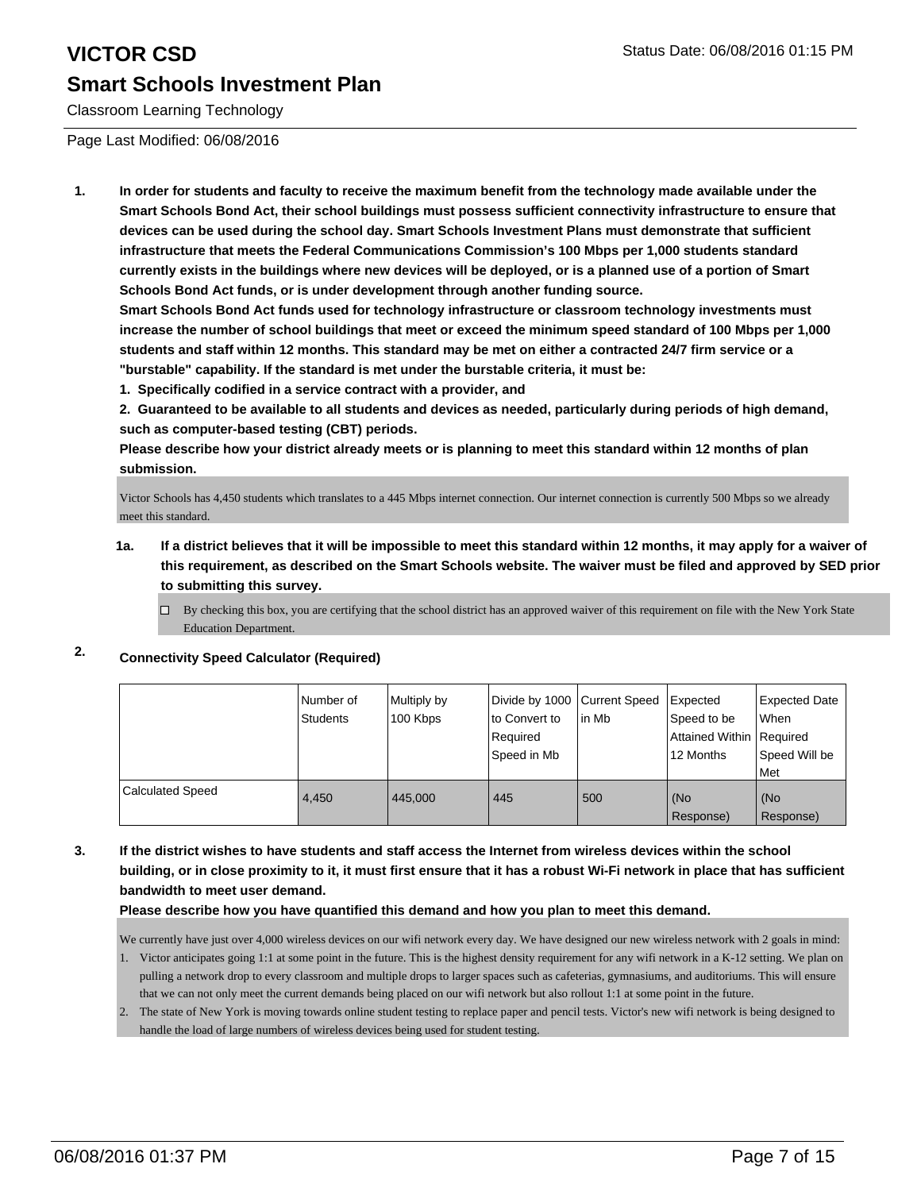Classroom Learning Technology

Page Last Modified: 06/08/2016

**1. In order for students and faculty to receive the maximum benefit from the technology made available under the Smart Schools Bond Act, their school buildings must possess sufficient connectivity infrastructure to ensure that devices can be used during the school day. Smart Schools Investment Plans must demonstrate that sufficient infrastructure that meets the Federal Communications Commission's 100 Mbps per 1,000 students standard currently exists in the buildings where new devices will be deployed, or is a planned use of a portion of Smart Schools Bond Act funds, or is under development through another funding source.**

**Smart Schools Bond Act funds used for technology infrastructure or classroom technology investments must increase the number of school buildings that meet or exceed the minimum speed standard of 100 Mbps per 1,000 students and staff within 12 months. This standard may be met on either a contracted 24/7 firm service or a "burstable" capability. If the standard is met under the burstable criteria, it must be:**

**1. Specifically codified in a service contract with a provider, and**

**2. Guaranteed to be available to all students and devices as needed, particularly during periods of high demand, such as computer-based testing (CBT) periods.**

**Please describe how your district already meets or is planning to meet this standard within 12 months of plan submission.**

Victor Schools has 4,450 students which translates to a 445 Mbps internet connection. Our internet connection is currently 500 Mbps so we already meet this standard.

- **1a. If a district believes that it will be impossible to meet this standard within 12 months, it may apply for a waiver of this requirement, as described on the Smart Schools website. The waiver must be filed and approved by SED prior to submitting this survey.**
	- $\Box$  By checking this box, you are certifying that the school district has an approved waiver of this requirement on file with the New York State Education Department.

#### **2. Connectivity Speed Calculator (Required)**

|                         | INumber of<br>Students | Multiply by<br>100 Kbps | Divide by 1000 Current Speed<br>Ito Convert to<br>Required<br>Speed in Mb | l in Mb | Expected<br>Speed to be<br>Attained Within   Required<br>12 Months | <b>Expected Date</b><br>l When<br>Speed Will be<br>Met |
|-------------------------|------------------------|-------------------------|---------------------------------------------------------------------------|---------|--------------------------------------------------------------------|--------------------------------------------------------|
| <b>Calculated Speed</b> | 4.450                  | 445,000                 | 445                                                                       | 500     | (No<br>Response)                                                   | l (No<br>Response)                                     |

**3. If the district wishes to have students and staff access the Internet from wireless devices within the school building, or in close proximity to it, it must first ensure that it has a robust Wi-Fi network in place that has sufficient bandwidth to meet user demand.**

**Please describe how you have quantified this demand and how you plan to meet this demand.**

We currently have just over 4,000 wireless devices on our wifi network every day. We have designed our new wireless network with 2 goals in mind:

- 1. Victor anticipates going 1:1 at some point in the future. This is the highest density requirement for any wifi network in a K-12 setting. We plan on pulling a network drop to every classroom and multiple drops to larger spaces such as cafeterias, gymnasiums, and auditoriums. This will ensure that we can not only meet the current demands being placed on our wifi network but also rollout 1:1 at some point in the future.
- 2. The state of New York is moving towards online student testing to replace paper and pencil tests. Victor's new wifi network is being designed to handle the load of large numbers of wireless devices being used for student testing.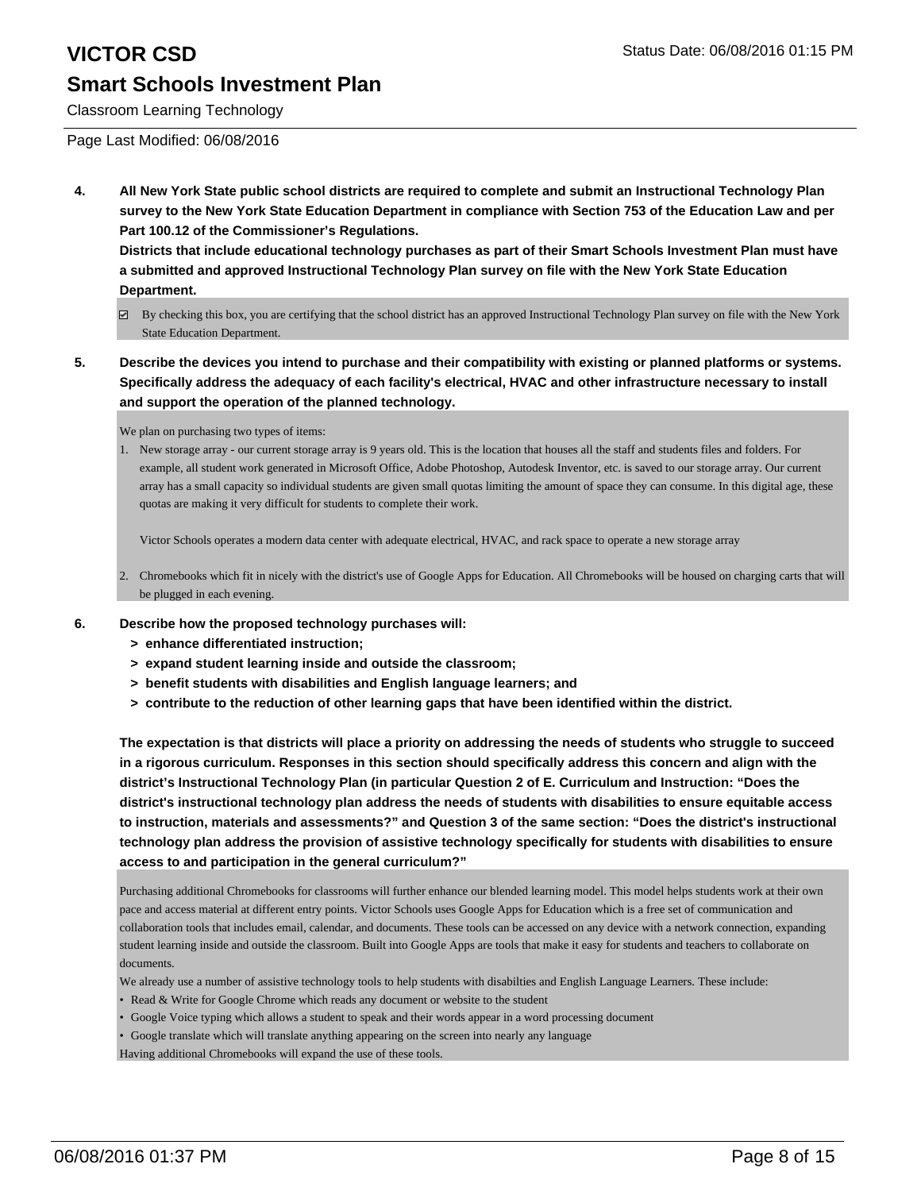Classroom Learning Technology

Page Last Modified: 06/08/2016

**4. All New York State public school districts are required to complete and submit an Instructional Technology Plan survey to the New York State Education Department in compliance with Section 753 of the Education Law and per Part 100.12 of the Commissioner's Regulations.**

**Districts that include educational technology purchases as part of their Smart Schools Investment Plan must have a submitted and approved Instructional Technology Plan survey on file with the New York State Education Department.**

- By checking this box, you are certifying that the school district has an approved Instructional Technology Plan survey on file with the New York State Education Department.
- **5. Describe the devices you intend to purchase and their compatibility with existing or planned platforms or systems. Specifically address the adequacy of each facility's electrical, HVAC and other infrastructure necessary to install and support the operation of the planned technology.**

We plan on purchasing two types of items:

1. New storage array - our current storage array is 9 years old. This is the location that houses all the staff and students files and folders. For example, all student work generated in Microsoft Office, Adobe Photoshop, Autodesk Inventor, etc. is saved to our storage array. Our current array has a small capacity so individual students are given small quotas limiting the amount of space they can consume. In this digital age, these quotas are making it very difficult for students to complete their work.

Victor Schools operates a modern data center with adequate electrical, HVAC, and rack space to operate a new storage array

- Chromebooks which fit in nicely with the district's use of Google Apps for Education. All Chromebooks will be housed on charging carts that will 2. be plugged in each evening.
- **6. Describe how the proposed technology purchases will:**
	- **> enhance differentiated instruction;**
	- **> expand student learning inside and outside the classroom;**
	- **> benefit students with disabilities and English language learners; and**
	- **> contribute to the reduction of other learning gaps that have been identified within the district.**

**The expectation is that districts will place a priority on addressing the needs of students who struggle to succeed in a rigorous curriculum. Responses in this section should specifically address this concern and align with the district's Instructional Technology Plan (in particular Question 2 of E. Curriculum and Instruction: "Does the district's instructional technology plan address the needs of students with disabilities to ensure equitable access to instruction, materials and assessments?" and Question 3 of the same section: "Does the district's instructional technology plan address the provision of assistive technology specifically for students with disabilities to ensure access to and participation in the general curriculum?"**

Purchasing additional Chromebooks for classrooms will further enhance our blended learning model. This model helps students work at their own pace and access material at different entry points. Victor Schools uses Google Apps for Education which is a free set of communication and collaboration tools that includes email, calendar, and documents. These tools can be accessed on any device with a network connection, expanding student learning inside and outside the classroom. Built into Google Apps are tools that make it easy for students and teachers to collaborate on documents.

We already use a number of assistive technology tools to help students with disabilties and English Language Learners. These include:

- Read & Write for Google Chrome which reads any document or website to the student
- Google Voice typing which allows a student to speak and their words appear in a word processing document

• Google translate which will translate anything appearing on the screen into nearly any language

Having additional Chromebooks will expand the use of these tools.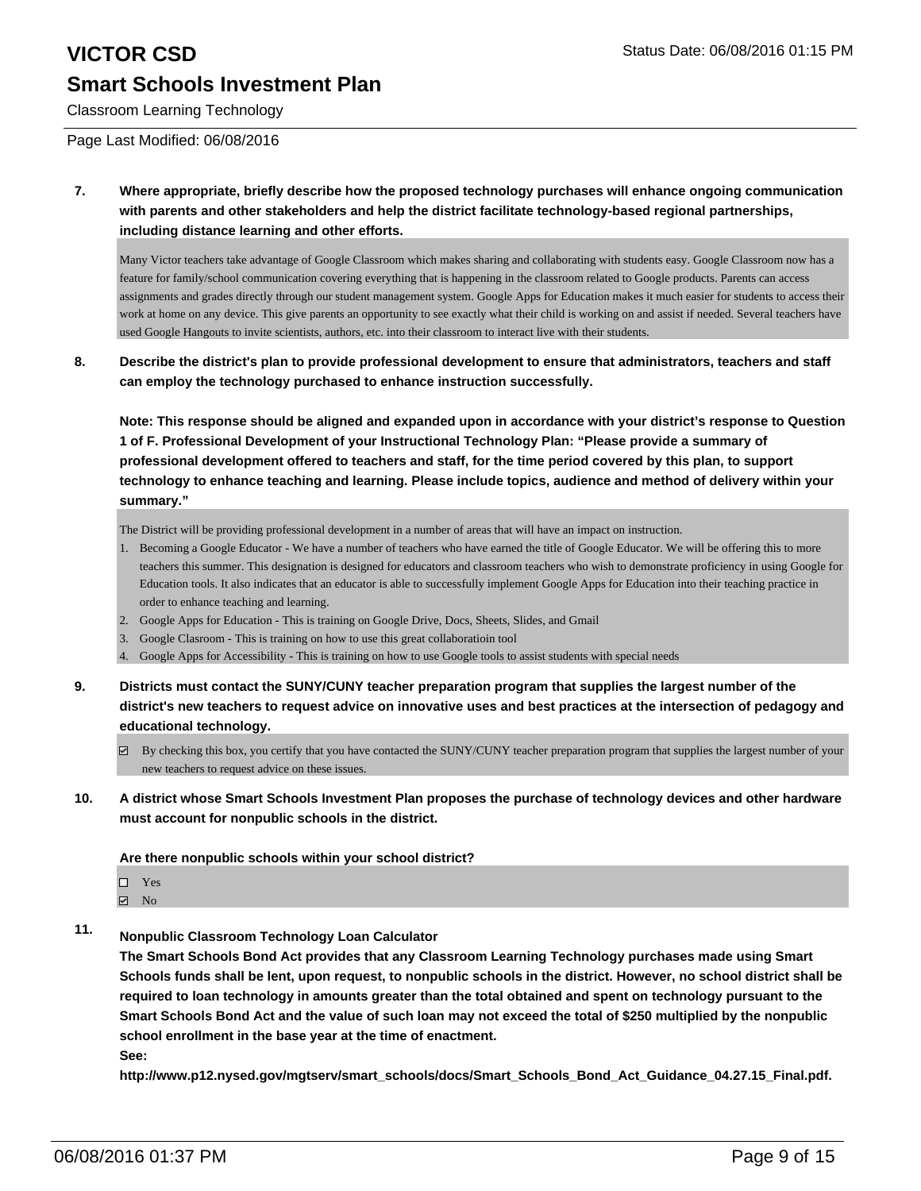# **VICTOR CSD** Status Date: 06/08/2016 01:15 PM

## **Smart Schools Investment Plan**

Classroom Learning Technology

Page Last Modified: 06/08/2016

**7. Where appropriate, briefly describe how the proposed technology purchases will enhance ongoing communication with parents and other stakeholders and help the district facilitate technology-based regional partnerships, including distance learning and other efforts.**

Many Victor teachers take advantage of Google Classroom which makes sharing and collaborating with students easy. Google Classroom now has a feature for family/school communication covering everything that is happening in the classroom related to Google products. Parents can access assignments and grades directly through our student management system. Google Apps for Education makes it much easier for students to access their work at home on any device. This give parents an opportunity to see exactly what their child is working on and assist if needed. Several teachers have used Google Hangouts to invite scientists, authors, etc. into their classroom to interact live with their students.

#### **8. Describe the district's plan to provide professional development to ensure that administrators, teachers and staff can employ the technology purchased to enhance instruction successfully.**

**Note: This response should be aligned and expanded upon in accordance with your district's response to Question 1 of F. Professional Development of your Instructional Technology Plan: "Please provide a summary of professional development offered to teachers and staff, for the time period covered by this plan, to support technology to enhance teaching and learning. Please include topics, audience and method of delivery within your summary."**

The District will be providing professional development in a number of areas that will have an impact on instruction.

- 1. Becoming a Google Educator We have a number of teachers who have earned the title of Google Educator. We will be offering this to more teachers this summer. This designation is designed for educators and classroom teachers who wish to demonstrate proficiency in using Google for Education tools. It also indicates that an educator is able to successfully implement Google Apps for Education into their teaching practice in order to enhance teaching and learning.
- 2. Google Apps for Education This is training on Google Drive, Docs, Sheets, Slides, and Gmail
- 3. Google Clasroom This is training on how to use this great collaboratioin tool
- 4. Google Apps for Accessibility This is training on how to use Google tools to assist students with special needs
- **9. Districts must contact the SUNY/CUNY teacher preparation program that supplies the largest number of the district's new teachers to request advice on innovative uses and best practices at the intersection of pedagogy and educational technology.**
	- $\boxtimes$  By checking this box, you certify that you have contacted the SUNY/CUNY teacher preparation program that supplies the largest number of your new teachers to request advice on these issues.
- **10. A district whose Smart Schools Investment Plan proposes the purchase of technology devices and other hardware must account for nonpublic schools in the district.**

**Are there nonpublic schools within your school district?**

- □ Yes  $\boxtimes$  No
- **11. Nonpublic Classroom Technology Loan Calculator**

**The Smart Schools Bond Act provides that any Classroom Learning Technology purchases made using Smart Schools funds shall be lent, upon request, to nonpublic schools in the district. However, no school district shall be required to loan technology in amounts greater than the total obtained and spent on technology pursuant to the Smart Schools Bond Act and the value of such loan may not exceed the total of \$250 multiplied by the nonpublic school enrollment in the base year at the time of enactment.**

**See:**

**http://www.p12.nysed.gov/mgtserv/smart\_schools/docs/Smart\_Schools\_Bond\_Act\_Guidance\_04.27.15\_Final.pdf.**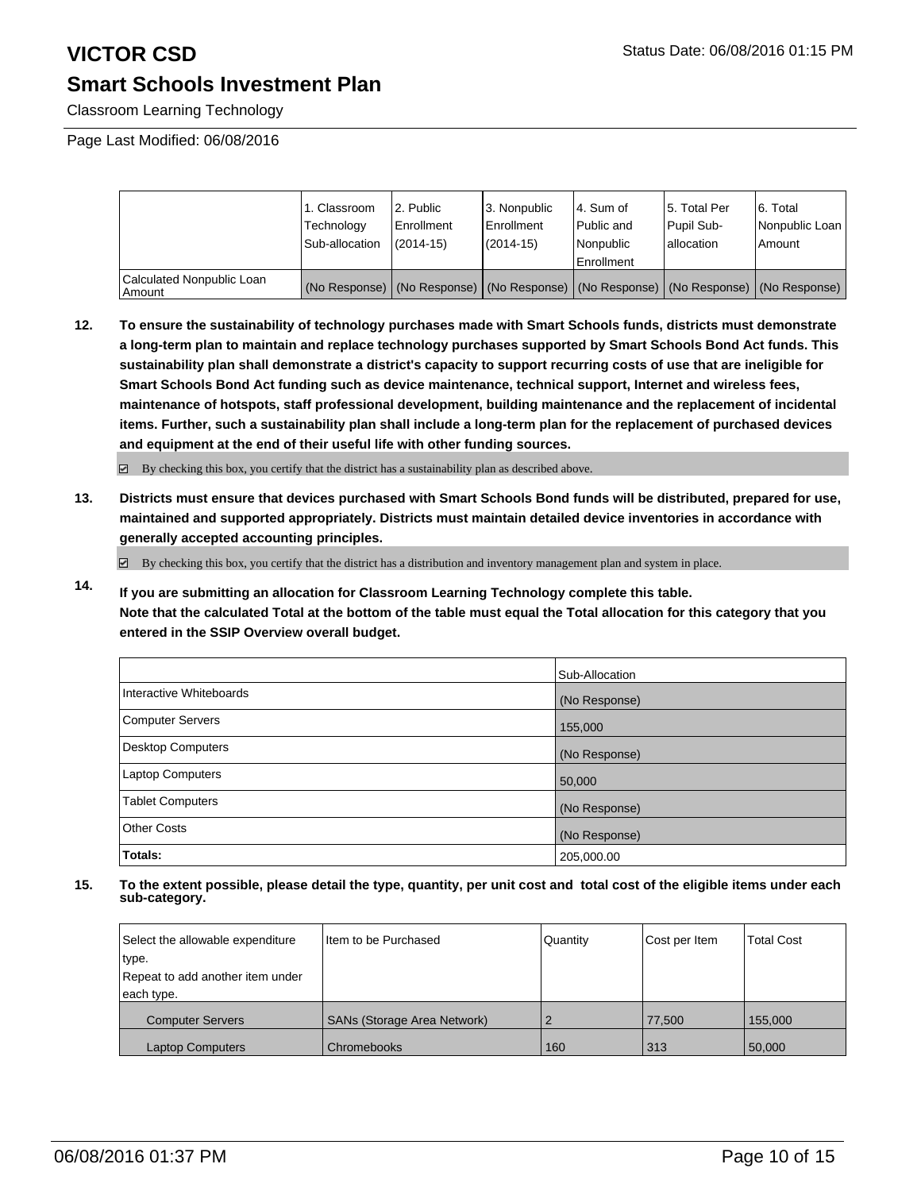Classroom Learning Technology

Page Last Modified: 06/08/2016

|                                     | 1. Classroom<br>Technology<br>Sub-allocation | 2. Public<br>Enrollment<br>$(2014 - 15)$ | l 3. Nonpublic<br>l Enrollment<br>$(2014 - 15)$ | l 4. Sum of<br>l Public and<br>l Nonpublic<br>Enrollment                                      | 5. Total Per<br>Pupil Sub-<br>allocation | 6. Total<br>Nonpublic Loan<br>Amount |
|-------------------------------------|----------------------------------------------|------------------------------------------|-------------------------------------------------|-----------------------------------------------------------------------------------------------|------------------------------------------|--------------------------------------|
| Calculated Nonpublic Loan<br>Amount |                                              |                                          |                                                 | (No Response)   (No Response)   (No Response)   (No Response)   (No Response)   (No Response) |                                          |                                      |

**12. To ensure the sustainability of technology purchases made with Smart Schools funds, districts must demonstrate a long-term plan to maintain and replace technology purchases supported by Smart Schools Bond Act funds. This sustainability plan shall demonstrate a district's capacity to support recurring costs of use that are ineligible for Smart Schools Bond Act funding such as device maintenance, technical support, Internet and wireless fees, maintenance of hotspots, staff professional development, building maintenance and the replacement of incidental items. Further, such a sustainability plan shall include a long-term plan for the replacement of purchased devices and equipment at the end of their useful life with other funding sources.**

 $\boxdot$  By checking this box, you certify that the district has a sustainability plan as described above.

**13. Districts must ensure that devices purchased with Smart Schools Bond funds will be distributed, prepared for use, maintained and supported appropriately. Districts must maintain detailed device inventories in accordance with generally accepted accounting principles.**

By checking this box, you certify that the district has a distribution and inventory management plan and system in place.

**14. If you are submitting an allocation for Classroom Learning Technology complete this table. Note that the calculated Total at the bottom of the table must equal the Total allocation for this category that you entered in the SSIP Overview overall budget.**

|                          | Sub-Allocation |
|--------------------------|----------------|
| Interactive Whiteboards  | (No Response)  |
| <b>Computer Servers</b>  | 155,000        |
| <b>Desktop Computers</b> | (No Response)  |
| <b>Laptop Computers</b>  | 50,000         |
| <b>Tablet Computers</b>  | (No Response)  |
| Other Costs              | (No Response)  |
| Totals:                  | 205,000.00     |

| Select the allowable expenditure | Item to be Purchased               | Quantity | Cost per Item | <b>Total Cost</b> |
|----------------------------------|------------------------------------|----------|---------------|-------------------|
| type.                            |                                    |          |               |                   |
| Repeat to add another item under |                                    |          |               |                   |
| each type.                       |                                    |          |               |                   |
| <b>Computer Servers</b>          | <b>SANs (Storage Area Network)</b> |          | 77.500        | 155,000           |
| <b>Laptop Computers</b>          | Chromebooks                        | 160      | 313           | 50,000            |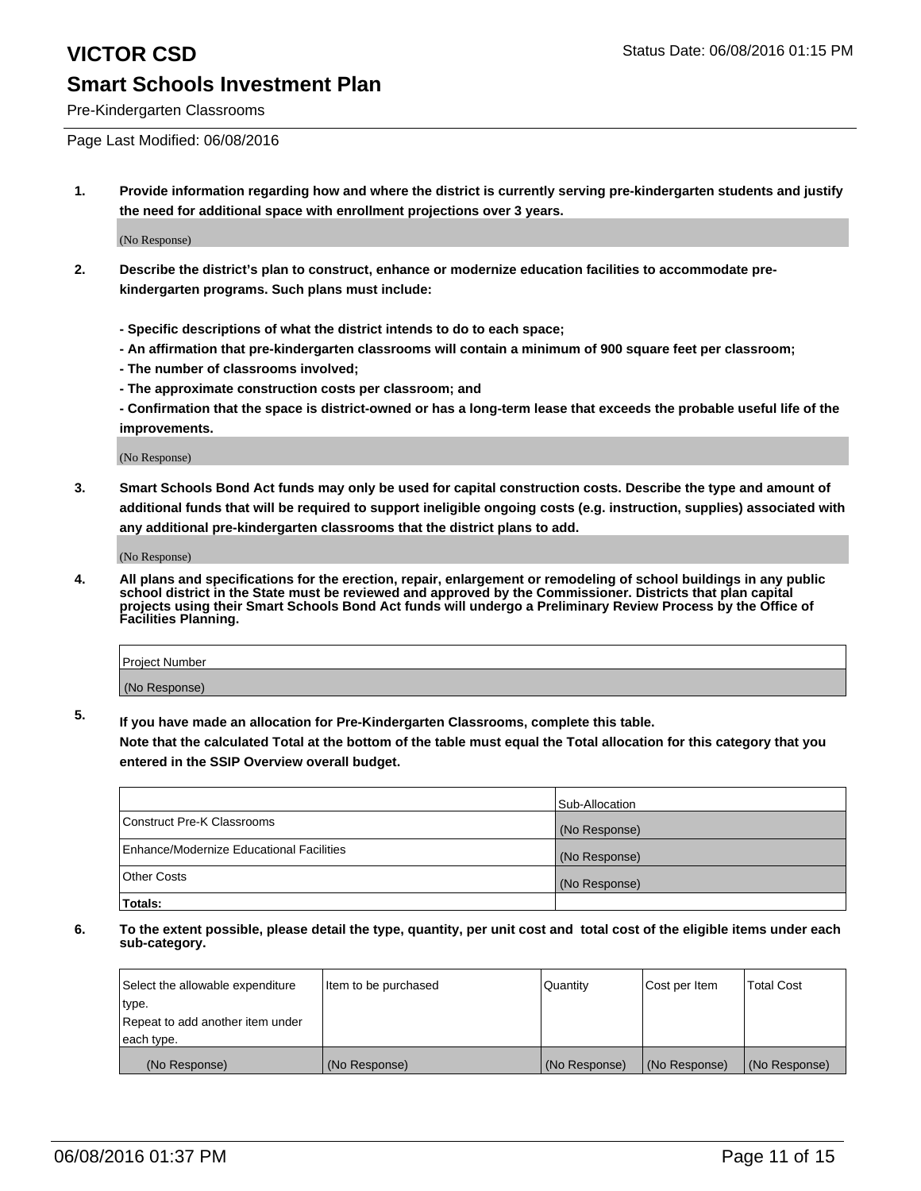Pre-Kindergarten Classrooms

Page Last Modified: 06/08/2016

**1. Provide information regarding how and where the district is currently serving pre-kindergarten students and justify the need for additional space with enrollment projections over 3 years.**

(No Response)

- **2. Describe the district's plan to construct, enhance or modernize education facilities to accommodate prekindergarten programs. Such plans must include:**
	- **Specific descriptions of what the district intends to do to each space;**
	- **An affirmation that pre-kindergarten classrooms will contain a minimum of 900 square feet per classroom;**
	- **The number of classrooms involved;**
	- **The approximate construction costs per classroom; and**
	- **Confirmation that the space is district-owned or has a long-term lease that exceeds the probable useful life of the improvements.**

(No Response)

**3. Smart Schools Bond Act funds may only be used for capital construction costs. Describe the type and amount of additional funds that will be required to support ineligible ongoing costs (e.g. instruction, supplies) associated with any additional pre-kindergarten classrooms that the district plans to add.**

(No Response)

**4. All plans and specifications for the erection, repair, enlargement or remodeling of school buildings in any public school district in the State must be reviewed and approved by the Commissioner. Districts that plan capital projects using their Smart Schools Bond Act funds will undergo a Preliminary Review Process by the Office of Facilities Planning.**

| Project Number |  |
|----------------|--|
| (No Response)  |  |

**5. If you have made an allocation for Pre-Kindergarten Classrooms, complete this table.**

**Note that the calculated Total at the bottom of the table must equal the Total allocation for this category that you entered in the SSIP Overview overall budget.**

|                                          | Sub-Allocation |
|------------------------------------------|----------------|
| Construct Pre-K Classrooms               | (No Response)  |
| Enhance/Modernize Educational Facilities | (No Response)  |
| Other Costs                              | (No Response)  |
| Totals:                                  |                |

| Select the allowable expenditure | litem to be purchased | Quantity      | Cost per Item | <b>Total Cost</b> |
|----------------------------------|-----------------------|---------------|---------------|-------------------|
| type.                            |                       |               |               |                   |
| Repeat to add another item under |                       |               |               |                   |
| each type.                       |                       |               |               |                   |
| (No Response)                    | (No Response)         | (No Response) | (No Response) | (No Response)     |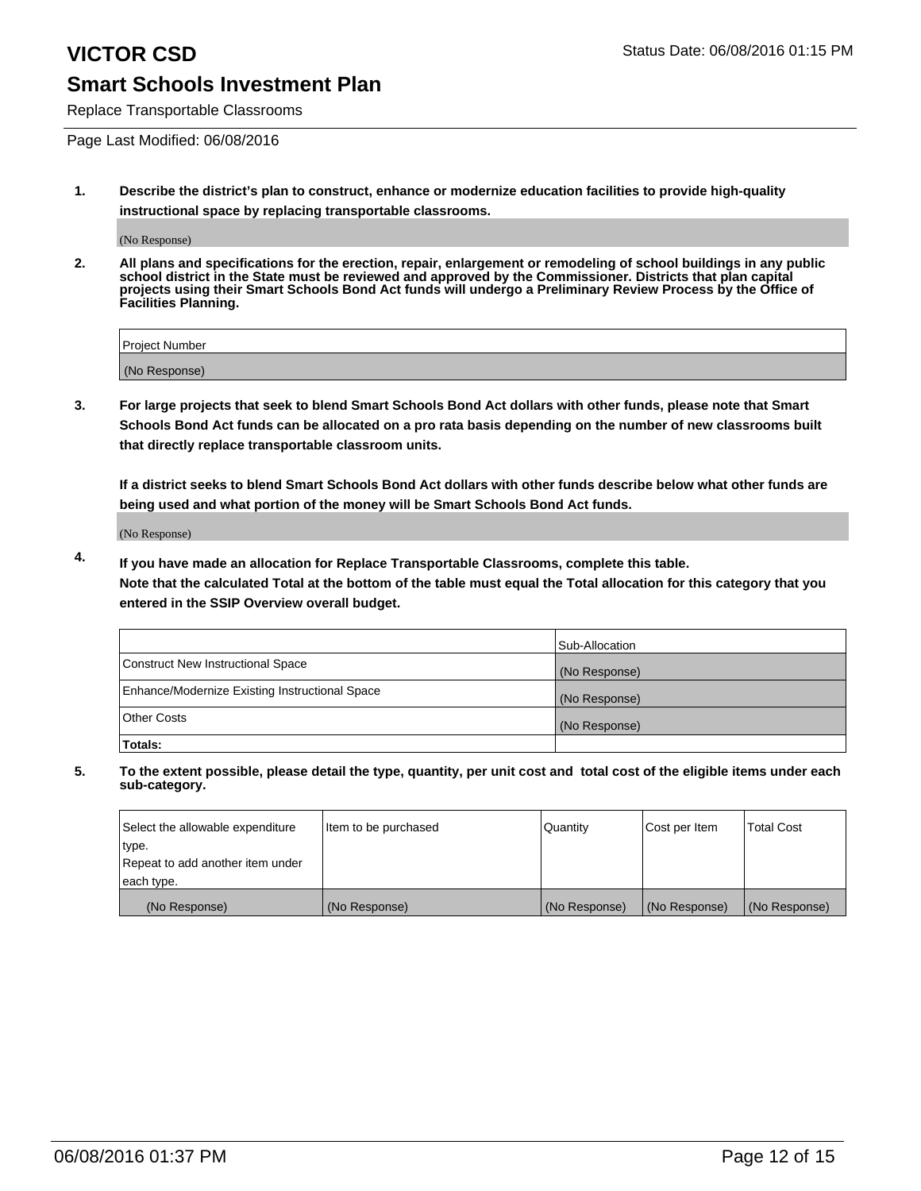Replace Transportable Classrooms

Page Last Modified: 06/08/2016

**1. Describe the district's plan to construct, enhance or modernize education facilities to provide high-quality instructional space by replacing transportable classrooms.**

(No Response)

**2. All plans and specifications for the erection, repair, enlargement or remodeling of school buildings in any public school district in the State must be reviewed and approved by the Commissioner. Districts that plan capital projects using their Smart Schools Bond Act funds will undergo a Preliminary Review Process by the Office of Facilities Planning.**

| <b>Project Number</b> |  |
|-----------------------|--|
| (No Response)         |  |

**3. For large projects that seek to blend Smart Schools Bond Act dollars with other funds, please note that Smart Schools Bond Act funds can be allocated on a pro rata basis depending on the number of new classrooms built that directly replace transportable classroom units.**

**If a district seeks to blend Smart Schools Bond Act dollars with other funds describe below what other funds are being used and what portion of the money will be Smart Schools Bond Act funds.**

(No Response)

**4. If you have made an allocation for Replace Transportable Classrooms, complete this table. Note that the calculated Total at the bottom of the table must equal the Total allocation for this category that you entered in the SSIP Overview overall budget.**

|                                                | Sub-Allocation |
|------------------------------------------------|----------------|
| Construct New Instructional Space              | (No Response)  |
| Enhance/Modernize Existing Instructional Space | (No Response)  |
| Other Costs                                    | (No Response)  |
| Totals:                                        |                |

| Select the allowable expenditure | Item to be purchased | <b>Quantity</b> | Cost per Item | <b>Total Cost</b> |
|----------------------------------|----------------------|-----------------|---------------|-------------------|
| type.                            |                      |                 |               |                   |
| Repeat to add another item under |                      |                 |               |                   |
| each type.                       |                      |                 |               |                   |
| (No Response)                    | (No Response)        | (No Response)   | (No Response) | (No Response)     |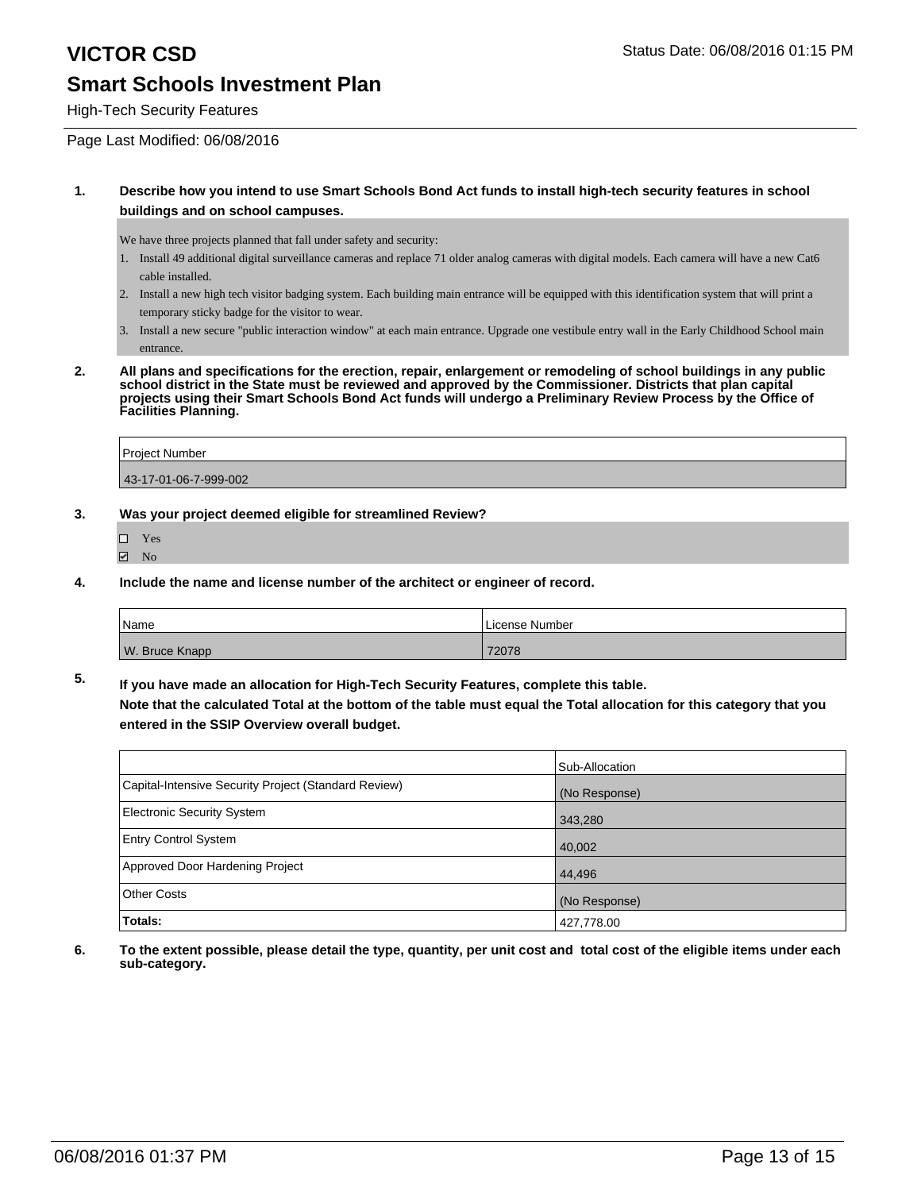### **VICTOR CSD** Status Date: 06/08/2016 01:15 PM **Smart Schools Investment Plan**

High-Tech Security Features

Page Last Modified: 06/08/2016

#### **1. Describe how you intend to use Smart Schools Bond Act funds to install high-tech security features in school buildings and on school campuses.**

We have three projects planned that fall under safety and security:

- 1. Install 49 additional digital surveillance cameras and replace 71 older analog cameras with digital models. Each camera will have a new Cat6 cable installed.
- 2. Install a new high tech visitor badging system. Each building main entrance will be equipped with this identification system that will print a temporary sticky badge for the visitor to wear.
- 3. Install a new secure "public interaction window" at each main entrance. Upgrade one vestibule entry wall in the Early Childhood School main entrance.
- **2. All plans and specifications for the erection, repair, enlargement or remodeling of school buildings in any public school district in the State must be reviewed and approved by the Commissioner. Districts that plan capital projects using their Smart Schools Bond Act funds will undergo a Preliminary Review Process by the Office of Facilities Planning.**

| <b>Project Number</b> |  |
|-----------------------|--|
| 43-17-01-06-7-999-002 |  |

- **3. Was your project deemed eligible for streamlined Review?**
	- Yes
	- **Ø** No
- **4. Include the name and license number of the architect or engineer of record.**

| <b>Name</b>    | License Number |
|----------------|----------------|
| W. Bruce Knapp | 72078          |

**5. If you have made an allocation for High-Tech Security Features, complete this table. Note that the calculated Total at the bottom of the table must equal the Total allocation for this category that you entered in the SSIP Overview overall budget.**

|                                                      | Sub-Allocation |
|------------------------------------------------------|----------------|
| Capital-Intensive Security Project (Standard Review) | (No Response)  |
| <b>Electronic Security System</b>                    | 343,280        |
| <b>Entry Control System</b>                          | 40,002         |
| Approved Door Hardening Project                      | 44.496         |
| <b>Other Costs</b>                                   | (No Response)  |
| Totals:                                              | 427,778.00     |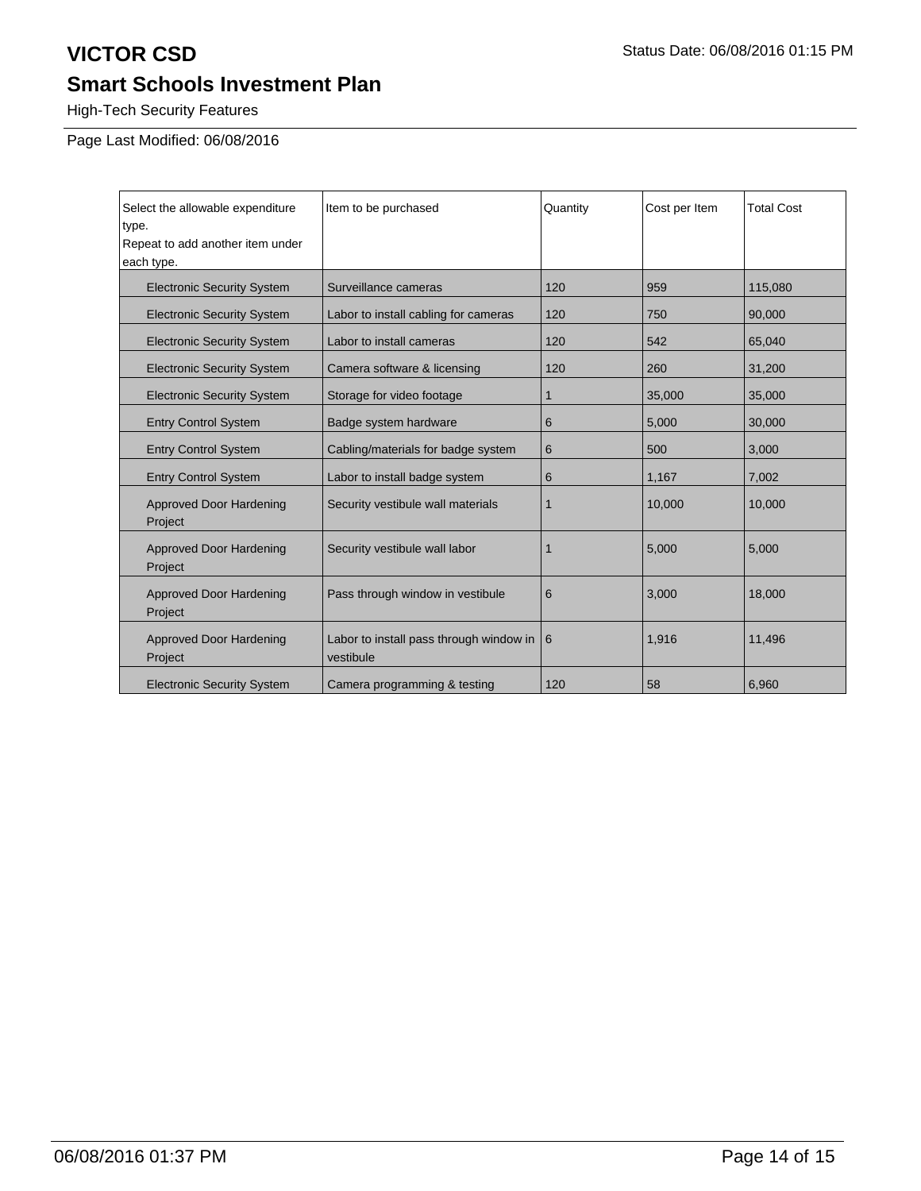High-Tech Security Features

Page Last Modified: 06/08/2016

| Select the allowable expenditure<br>type.<br>Repeat to add another item under<br>each type. | Item to be purchased                                 | Quantity | Cost per Item | <b>Total Cost</b> |
|---------------------------------------------------------------------------------------------|------------------------------------------------------|----------|---------------|-------------------|
| <b>Electronic Security System</b>                                                           | Surveillance cameras                                 | 120      | 959           | 115.080           |
| <b>Electronic Security System</b>                                                           | Labor to install cabling for cameras                 | 120      | 750           | 90,000            |
| <b>Electronic Security System</b>                                                           | Labor to install cameras                             | 120      | 542           | 65,040            |
| <b>Electronic Security System</b>                                                           | Camera software & licensing                          | 120      | 260           | 31,200            |
| <b>Electronic Security System</b>                                                           | Storage for video footage                            | 1        | 35,000        | 35,000            |
| <b>Entry Control System</b>                                                                 | Badge system hardware                                | 6        | 5,000         | 30,000            |
| <b>Entry Control System</b>                                                                 | Cabling/materials for badge system                   | 6        | 500           | 3,000             |
| <b>Entry Control System</b>                                                                 | Labor to install badge system                        | 6        | 1,167         | 7,002             |
| Approved Door Hardening<br>Project                                                          | Security vestibule wall materials                    | 1        | 10,000        | 10,000            |
| Approved Door Hardening<br>Project                                                          | Security vestibule wall labor                        |          | 5,000         | 5,000             |
| <b>Approved Door Hardening</b><br>Project                                                   | Pass through window in vestibule                     | 6        | 3,000         | 18,000            |
| <b>Approved Door Hardening</b><br>Project                                                   | Labor to install pass through window in<br>vestibule | <b>6</b> | 1,916         | 11,496            |
| <b>Electronic Security System</b>                                                           | Camera programming & testing                         | 120      | 58            | 6,960             |